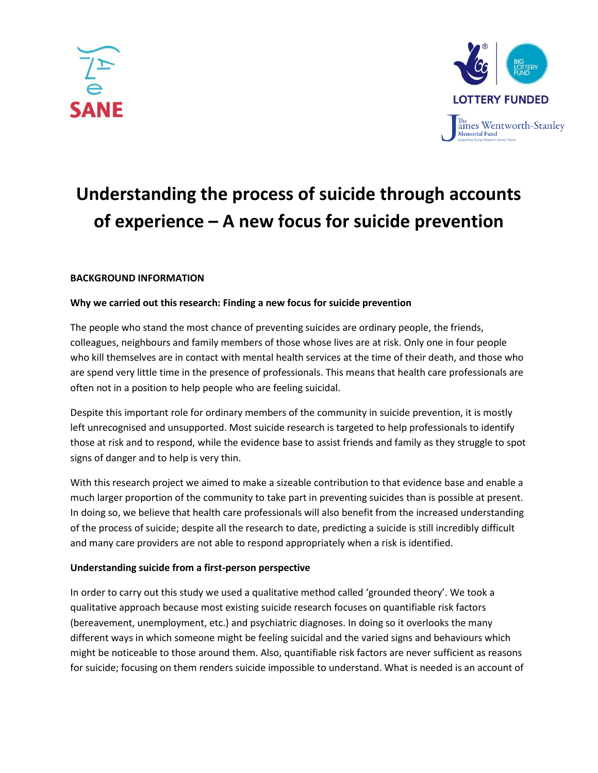



# **Understanding the process of suicide through accounts of experience – A new focus for suicide prevention**

# **BACKGROUND INFORMATION**

## **Why we carried out this research: Finding a new focus for suicide prevention**

The people who stand the most chance of preventing suicides are ordinary people, the friends, colleagues, neighbours and family members of those whose lives are at risk. Only one in four people who kill themselves are in contact with mental health services at the time of their death, and those who are spend very little time in the presence of professionals. This means that health care professionals are often not in a position to help people who are feeling suicidal.

Despite this important role for ordinary members of the community in suicide prevention, it is mostly left unrecognised and unsupported. Most suicide research is targeted to help professionals to identify those at risk and to respond, while the evidence base to assist friends and family as they struggle to spot signs of danger and to help is very thin.

With this research project we aimed to make a sizeable contribution to that evidence base and enable a much larger proportion of the community to take part in preventing suicides than is possible at present. In doing so, we believe that health care professionals will also benefit from the increased understanding of the process of suicide; despite all the research to date, predicting a suicide is still incredibly difficult and many care providers are not able to respond appropriately when a risk is identified.

## **Understanding suicide from a first-person perspective**

In order to carry out this study we used a qualitative method called 'grounded theory'. We took a qualitative approach because most existing suicide research focuses on quantifiable risk factors (bereavement, unemployment, etc.) and psychiatric diagnoses. In doing so it overlooks the many different ways in which someone might be feeling suicidal and the varied signs and behaviours which might be noticeable to those around them. Also, quantifiable risk factors are never sufficient as reasons for suicide; focusing on them renders suicide impossible to understand. What is needed is an account of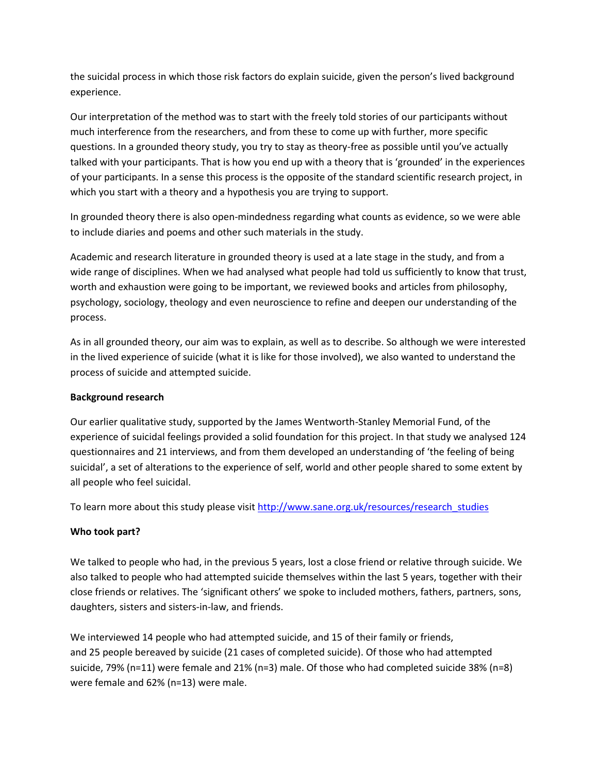the suicidal process in which those risk factors do explain suicide, given the person's lived background experience.

Our interpretation of the method was to start with the freely told stories of our participants without much interference from the researchers, and from these to come up with further, more specific questions. In a grounded theory study, you try to stay as theory-free as possible until you've actually talked with your participants. That is how you end up with a theory that is 'grounded' in the experiences of your participants. In a sense this process is the opposite of the standard scientific research project, in which you start with a theory and a hypothesis you are trying to support.

In grounded theory there is also open-mindedness regarding what counts as evidence, so we were able to include diaries and poems and other such materials in the study.

Academic and research literature in grounded theory is used at a late stage in the study, and from a wide range of disciplines. When we had analysed what people had told us sufficiently to know that trust, worth and exhaustion were going to be important, we reviewed books and articles from philosophy, psychology, sociology, theology and even neuroscience to refine and deepen our understanding of the process.

As in all grounded theory, our aim was to explain, as well as to describe. So although we were interested in the lived experience of suicide (what it is like for those involved), we also wanted to understand the process of suicide and attempted suicide.

# **Background research**

Our earlier qualitative study, supported by the James Wentworth-Stanley Memorial Fund, of the experience of suicidal feelings provided a solid foundation for this project. In that study we analysed 124 questionnaires and 21 interviews, and from them developed an understanding of 'the feeling of being suicidal', a set of alterations to the experience of self, world and other people shared to some extent by all people who feel suicidal.

To learn more about this study please visit [http://www.sane.org.uk/resources/research\\_studies](http://www.sane.org.uk/resources/research_studies)

# **Who took part?**

We talked to people who had, in the previous 5 years, lost a close friend or relative through suicide. We also talked to people who had attempted suicide themselves within the last 5 years, together with their close friends or relatives. The 'significant others' we spoke to included mothers, fathers, partners, sons, daughters, sisters and sisters-in-law, and friends.

We interviewed 14 people who had attempted suicide, and 15 of their family or friends, and 25 people bereaved by suicide (21 cases of completed suicide). Of those who had attempted suicide, 79% (n=11) were female and 21% (n=3) male. Of those who had completed suicide 38% (n=8) were female and 62% (n=13) were male.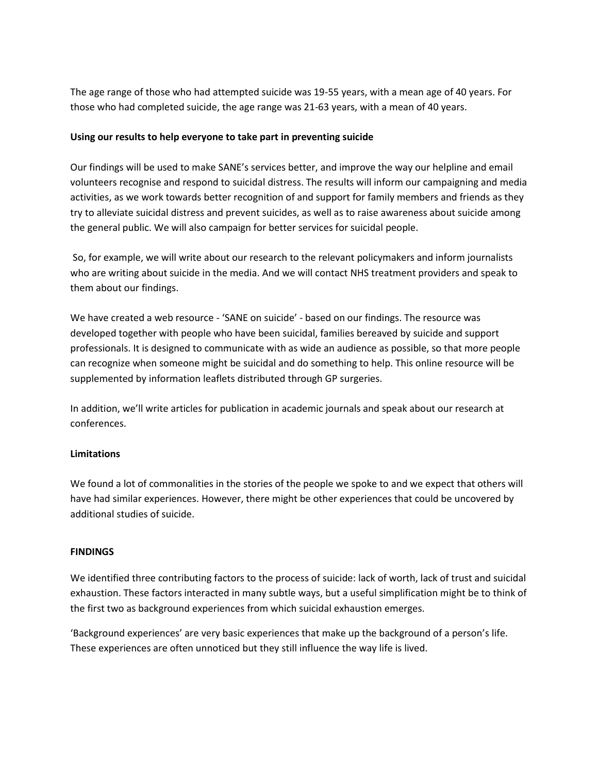The age range of those who had attempted suicide was 19-55 years, with a mean age of 40 years. For those who had completed suicide, the age range was 21-63 years, with a mean of 40 years.

## **Using our results to help everyone to take part in preventing suicide**

Our findings will be used to make SANE's services better, and improve the way our helpline and email volunteers recognise and respond to suicidal distress. The results will inform our campaigning and media activities, as we work towards better recognition of and support for family members and friends as they try to alleviate suicidal distress and prevent suicides, as well as to raise awareness about suicide among the general public. We will also campaign for better services for suicidal people.

So, for example, we will write about our research to the relevant policymakers and inform journalists who are writing about suicide in the media. And we will contact NHS treatment providers and speak to them about our findings.

We have created a web resource - 'SANE on suicide' - based on our findings. The resource was developed together with people who have been suicidal, families bereaved by suicide and support professionals. It is designed to communicate with as wide an audience as possible, so that more people can recognize when someone might be suicidal and do something to help. This online resource will be supplemented by information leaflets distributed through GP surgeries.

In addition, we'll write articles for publication in academic journals and speak about our research at conferences.

# **Limitations**

We found a lot of commonalities in the stories of the people we spoke to and we expect that others will have had similar experiences. However, there might be other experiences that could be uncovered by additional studies of suicide.

## **FINDINGS**

We identified three contributing factors to the process of suicide: lack of worth, lack of trust and suicidal exhaustion. These factors interacted in many subtle ways, but a useful simplification might be to think of the first two as background experiences from which suicidal exhaustion emerges.

'Background experiences' are very basic experiences that make up the background of a person's life. These experiences are often unnoticed but they still influence the way life is lived.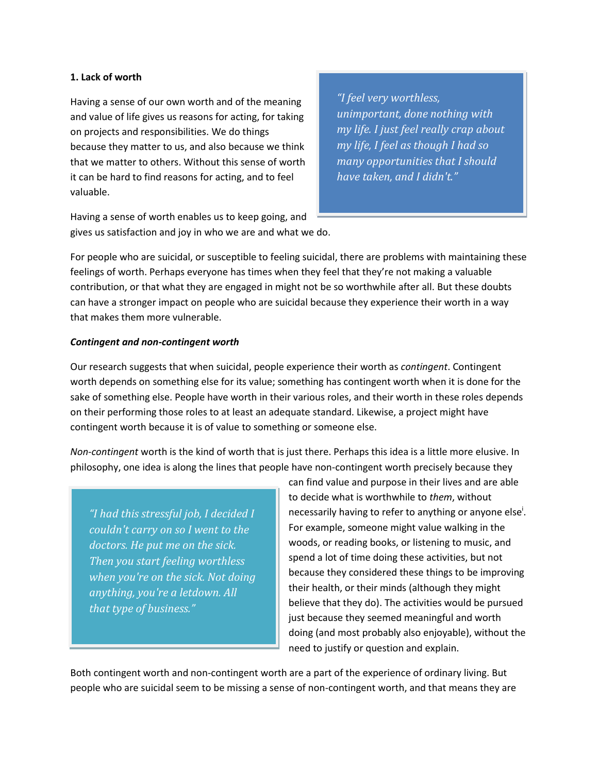#### **1. Lack of worth**

Having a sense of our own worth and of the meaning and value of life gives us reasons for acting, for taking on projects and responsibilities. We do things because they matter to us, and also because we think that we matter to others. Without this sense of worth it can be hard to find reasons for acting, and to feel valuable.

*"I feel very worthless, unimportant, done nothing with my life. I just feel really crap about my life, I feel as though I had so many opportunities that I should have taken, and I didn't."*

Having a sense of worth enables us to keep going, and gives us satisfaction and joy in who we are and what we do.

For people who are suicidal, or susceptible to feeling suicidal, there are problems with maintaining these feelings of worth. Perhaps everyone has times when they feel that they're not making a valuable contribution, or that what they are engaged in might not be so worthwhile after all. But these doubts can have a stronger impact on people who are suicidal because they experience their worth in a way that makes them more vulnerable.

## *Contingent and non-contingent worth*

Our research suggests that when suicidal, people experience their worth as *contingent*. Contingent worth depends on something else for its value; something has contingent worth when it is done for the sake of something else. People have worth in their various roles, and their worth in these roles depends on their performing those roles to at least an adequate standard. Likewise, a project might have contingent worth because it is of value to something or someone else.

*Non-contingent* worth is the kind of worth that is just there. Perhaps this idea is a little more elusive. In philosophy, one idea is along the lines that people have non-contingent worth precisely because they

*"I had this stressful job, I decided I couldn't carry on so I went to the doctors. He put me on the sick. Then you start feeling worthless when you're on the sick. Not doing anything, you're a letdown. All that type of business."*

can find value and purpose in their lives and are able to decide what is worthwhile to *them*, without necessarily having to refer to anything or anyone else<sup>i</sup>. For example, someone might value walking in the woods, or reading books, or listening to music, and spend a lot of time doing these activities, but not because they considered these things to be improving their health, or their minds (although they might believe that they do). The activities would be pursued just because they seemed meaningful and worth doing (and most probably also enjoyable), without the need to justify or question and explain.

Both contingent worth and non-contingent worth are a part of the experience of ordinary living. But people who are suicidal seem to be missing a sense of non-contingent worth, and that means they are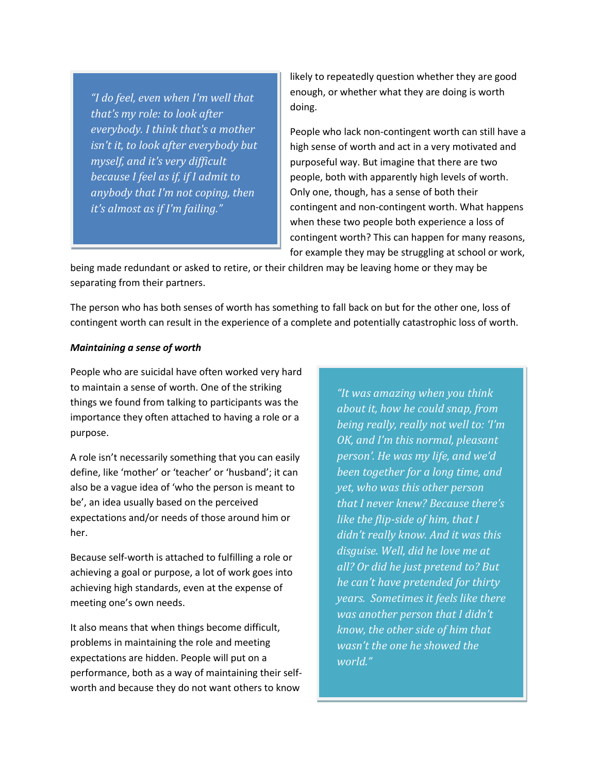*"I do feel, even when I'm well that that's my role: to look after everybody. I think that's a mother isn't it, to look after everybody but myself, and it's very difficult because I feel as if, if I admit to anybody that I'm not coping, then it's almost as if I'm failing."*

likely to repeatedly question whether they are good enough, or whether what they are doing is worth doing.

People who lack non-contingent worth can still have a high sense of worth and act in a very motivated and purposeful way. But imagine that there are two people, both with apparently high levels of worth. Only one, though, has a sense of both their contingent and non-contingent worth. What happens when these two people both experience a loss of contingent worth? This can happen for many reasons, for example they may be struggling at school or work,

being made redundant or asked to retire, or their children may be leaving home or they may be separating from their partners.

The person who has both senses of worth has something to fall back on but for the other one, loss of contingent worth can result in the experience of a complete and potentially catastrophic loss of worth.

#### *Maintaining a sense of worth*

People who are suicidal have often worked very hard to maintain a sense of worth. One of the striking things we found from talking to participants was the importance they often attached to having a role or a purpose.

A role isn't necessarily something that you can easily define, like 'mother' or 'teacher' or 'husband'; it can also be a vague idea of 'who the person is meant to be', an idea usually based on the perceived expectations and/or needs of those around him or her.

Because self-worth is attached to fulfilling a role or achieving a goal or purpose, a lot of work goes into achieving high standards, even at the expense of meeting one's own needs.

It also means that when things become difficult, problems in maintaining the role and meeting expectations are hidden. People will put on a performance, both as a way of maintaining their selfworth and because they do not want others to know

*"It was amazing when you think about it, how he could snap, from being really, really not well to: 'I'm OK, and I'm this normal, pleasant person'. He was my life, and we'd been together for a long time, and yet, who was this other person that I never knew? Because there's like the flip-side of him, that I didn't really know. And it was this disguise. Well, did he love me at all? Or did he just pretend to? But he can't have pretended for thirty years. Sometimes it feels like there was another person that I didn't know, the other side of him that wasn't the one he showed the world."*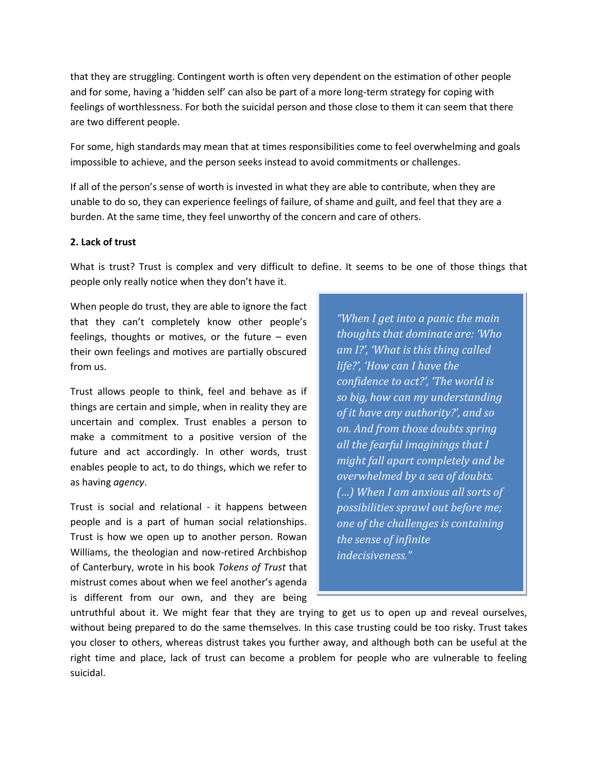that they are struggling. Contingent worth is often very dependent on the estimation of other people and for some, having a 'hidden self' can also be part of a more long-term strategy for coping with feelings of worthlessness. For both the suicidal person and those close to them it can seem that there are two different people.

For some, high standards may mean that at times responsibilities come to feel overwhelming and goals impossible to achieve, and the person seeks instead to avoid commitments or challenges.

If all of the person's sense of worth is invested in what they are able to contribute, when they are unable to do so, they can experience feelings of failure, of shame and guilt, and feel that they are a burden. At the same time, they feel unworthy of the concern and care of others.

#### **2. Lack of trust**

What is trust? Trust is complex and very difficult to define. It seems to be one of those things that people only really notice when they don't have it.

When people do trust, they are able to ignore the fact that they can't completely know other people's feelings, thoughts or motives, or the future – even their own feelings and motives are partially obscured from us.

Trust allows people to think, feel and behave as if things are certain and simple, when in reality they are uncertain and complex. Trust enables a person to make a commitment to a positive version of the future and act accordingly. In other words, trust enables people to act, to do things, which we refer to as having *agency*.

Trust is social and relational - it happens between people and is a part of human social relationships. Trust is how we open up to another person. Rowan Williams, the theologian and now-retired Archbishop of Canterbury, wrote in his book *Tokens of Trust* that mistrust comes about when we feel another's agenda is different from our own, and they are being

*"When I get into a panic the main thoughts that dominate are: 'Who am I?', 'What is this thing called life?', 'How can I have the confidence to act?', 'The world is so big, how can my understanding of it have any authority?', and so on. And from those doubts spring all the fearful imaginings that I might fall apart completely and be overwhelmed by a sea of doubts. (…) When I am anxious all sorts of possibilities sprawl out before me; one of the challenges is containing the sense of infinite indecisiveness."*

untruthful about it. We might fear that they are trying to get us to open up and reveal ourselves, without being prepared to do the same themselves. In this case trusting could be too risky. Trust takes you closer to others, whereas distrust takes you further away, and although both can be useful at the right time and place, lack of trust can become a problem for people who are vulnerable to feeling suicidal.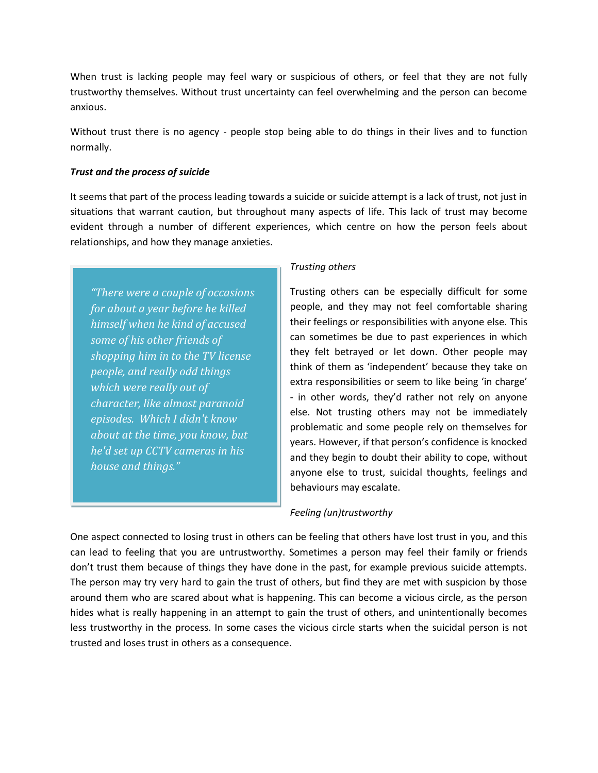When trust is lacking people may feel wary or suspicious of others, or feel that they are not fully trustworthy themselves. Without trust uncertainty can feel overwhelming and the person can become anxious.

Without trust there is no agency - people stop being able to do things in their lives and to function normally.

### *Trust and the process of suicide*

It seems that part of the process leading towards a suicide or suicide attempt is a lack of trust, not just in situations that warrant caution, but throughout many aspects of life. This lack of trust may become evident through a number of different experiences, which centre on how the person feels about relationships, and how they manage anxieties.

*"There were a couple of occasions for about a year before he killed himself when he kind of accused some of his other friends of shopping him in to the TV license people, and really odd things which were really out of character, like almost paranoid episodes. Which I didn't know about at the time, you know, but he'd set up CCTV cameras in his house and things."*

#### *Trusting others*

Trusting others can be especially difficult for some people, and they may not feel comfortable sharing their feelings or responsibilities with anyone else. This can sometimes be due to past experiences in which they felt betrayed or let down. Other people may think of them as 'independent' because they take on extra responsibilities or seem to like being 'in charge' - in other words, they'd rather not rely on anyone else. Not trusting others may not be immediately problematic and some people rely on themselves for years. However, if that person's confidence is knocked and they begin to doubt their ability to cope, without anyone else to trust, suicidal thoughts, feelings and behaviours may escalate.

## *Feeling (un)trustworthy*

One aspect connected to losing trust in others can be feeling that others have lost trust in you, and this can lead to feeling that you are untrustworthy. Sometimes a person may feel their family or friends don't trust them because of things they have done in the past, for example previous suicide attempts. The person may try very hard to gain the trust of others, but find they are met with suspicion by those around them who are scared about what is happening. This can become a vicious circle, as the person hides what is really happening in an attempt to gain the trust of others, and unintentionally becomes less trustworthy in the process. In some cases the vicious circle starts when the suicidal person is not trusted and loses trust in others as a consequence.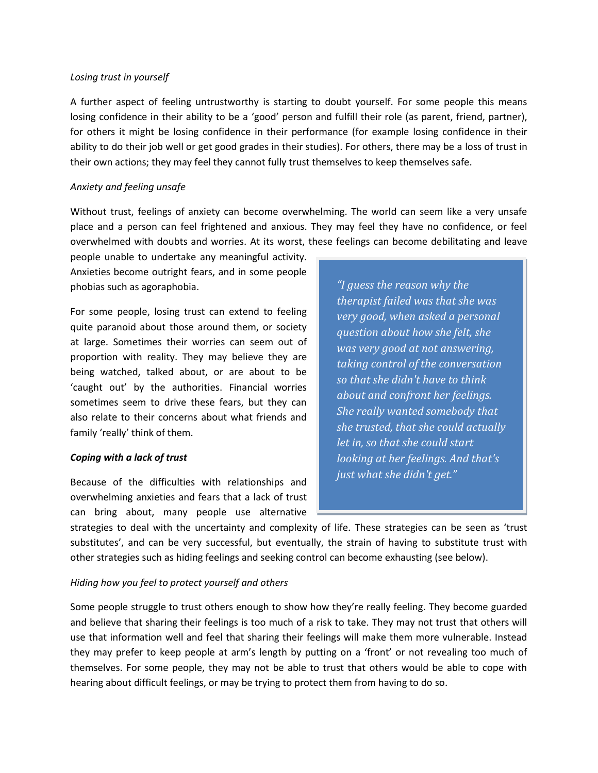#### *Losing trust in yourself*

A further aspect of feeling untrustworthy is starting to doubt yourself. For some people this means losing confidence in their ability to be a 'good' person and fulfill their role (as parent, friend, partner), for others it might be losing confidence in their performance (for example losing confidence in their ability to do their job well or get good grades in their studies). For others, there may be a loss of trust in their own actions; they may feel they cannot fully trust themselves to keep themselves safe.

#### *Anxiety and feeling unsafe*

Without trust, feelings of anxiety can become overwhelming. The world can seem like a very unsafe place and a person can feel frightened and anxious. They may feel they have no confidence, or feel overwhelmed with doubts and worries. At its worst, these feelings can become debilitating and leave

people unable to undertake any meaningful activity. Anxieties become outright fears, and in some people phobias such as agoraphobia.

For some people, losing trust can extend to feeling quite paranoid about those around them, or society at large. Sometimes their worries can seem out of proportion with reality. They may believe they are being watched, talked about, or are about to be 'caught out' by the authorities. Financial worries sometimes seem to drive these fears, but they can also relate to their concerns about what friends and family 'really' think of them.

#### *Coping with a lack of trust*

Because of the difficulties with relationships and overwhelming anxieties and fears that a lack of trust can bring about, many people use alternative

*"I guess the reason why the therapist failed was that she was very good, when asked a personal question about how she felt, she was very good at not answering, taking control of the conversation so that she didn't have to think about and confront her feelings. She really wanted somebody that she trusted, that she could actually let in, so that she could start looking at her feelings. And that's just what she didn't get."*

strategies to deal with the uncertainty and complexity of life. These strategies can be seen as 'trust substitutes', and can be very successful, but eventually, the strain of having to substitute trust with other strategies such as hiding feelings and seeking control can become exhausting (see below).

## *Hiding how you feel to protect yourself and others*

Some people struggle to trust others enough to show how they're really feeling. They become guarded and believe that sharing their feelings is too much of a risk to take. They may not trust that others will use that information well and feel that sharing their feelings will make them more vulnerable. Instead they may prefer to keep people at arm's length by putting on a 'front' or not revealing too much of themselves. For some people, they may not be able to trust that others would be able to cope with hearing about difficult feelings, or may be trying to protect them from having to do so.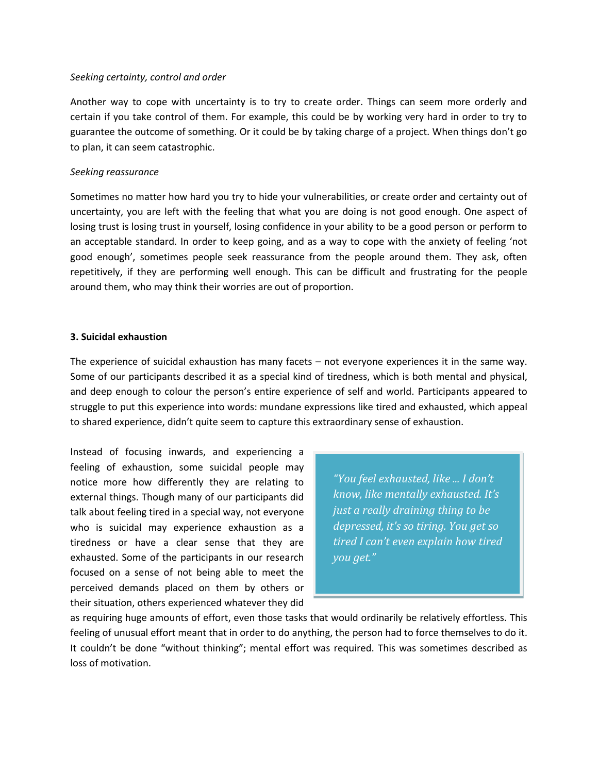#### *Seeking certainty, control and order*

Another way to cope with uncertainty is to try to create order. Things can seem more orderly and certain if you take control of them. For example, this could be by working very hard in order to try to guarantee the outcome of something. Or it could be by taking charge of a project. When things don't go to plan, it can seem catastrophic.

## *Seeking reassurance*

Sometimes no matter how hard you try to hide your vulnerabilities, or create order and certainty out of uncertainty, you are left with the feeling that what you are doing is not good enough. One aspect of losing trust is losing trust in yourself, losing confidence in your ability to be a good person or perform to an acceptable standard. In order to keep going, and as a way to cope with the anxiety of feeling 'not good enough', sometimes people seek reassurance from the people around them. They ask, often repetitively, if they are performing well enough. This can be difficult and frustrating for the people around them, who may think their worries are out of proportion.

## **3. Suicidal exhaustion**

The experience of suicidal exhaustion has many facets – not everyone experiences it in the same way. Some of our participants described it as a special kind of tiredness, which is both mental and physical, and deep enough to colour the person's entire experience of self and world. Participants appeared to struggle to put this experience into words: mundane expressions like tired and exhausted, which appeal to shared experience, didn't quite seem to capture this extraordinary sense of exhaustion.

Instead of focusing inwards, and experiencing a feeling of exhaustion, some suicidal people may notice more how differently they are relating to external things. Though many of our participants did talk about feeling tired in a special way, not everyone who is suicidal may experience exhaustion as a tiredness or have a clear sense that they are exhausted. Some of the participants in our research focused on a sense of not being able to meet the perceived demands placed on them by others or their situation, others experienced whatever they did

*"You feel exhausted, like ... I don't know, like mentally exhausted. It's just a really draining thing to be depressed, it's so tiring. You get so tired I can't even explain how tired you get."*

as requiring huge amounts of effort, even those tasks that would ordinarily be relatively effortless. This feeling of unusual effort meant that in order to do anything, the person had to force themselves to do it. It couldn't be done "without thinking"; mental effort was required. This was sometimes described as loss of motivation.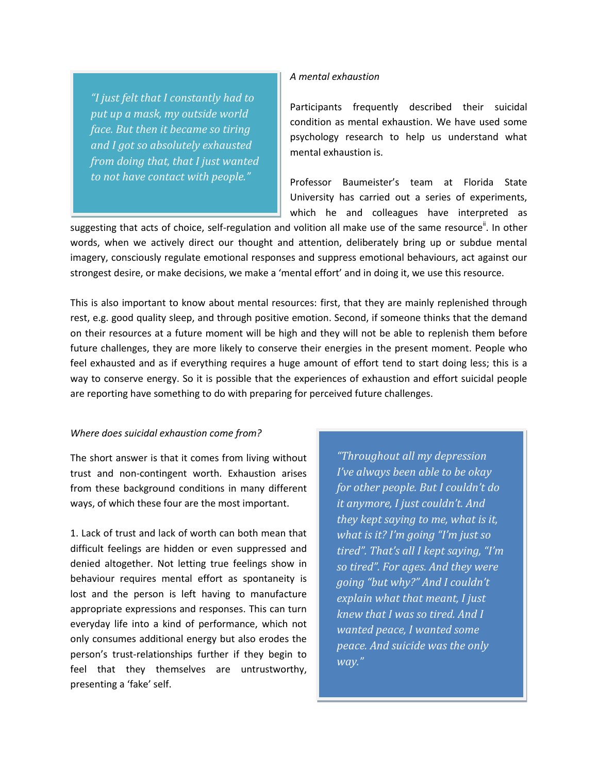*"I just felt that I constantly had to put up a mask, my outside world face. But then it became so tiring and I got so absolutely exhausted from doing that, that I just wanted to not have contact with people."*

#### *A mental exhaustion*

Participants frequently described their suicidal condition as mental exhaustion. We have used some psychology research to help us understand what mental exhaustion is.

Professor Baumeister's team at Florida State University has carried out a series of experiments, which he and colleagues have interpreted as

suggesting that acts of choice, self-regulation and volition all make use of the same resource<sup>ii</sup>. In other words, when we actively direct our thought and attention, deliberately bring up or subdue mental imagery, consciously regulate emotional responses and suppress emotional behaviours, act against our strongest desire, or make decisions, we make a 'mental effort' and in doing it, we use this resource.

This is also important to know about mental resources: first, that they are mainly replenished through rest, e.g. good quality sleep, and through positive emotion. Second, if someone thinks that the demand on their resources at a future moment will be high and they will not be able to replenish them before future challenges, they are more likely to conserve their energies in the present moment. People who feel exhausted and as if everything requires a huge amount of effort tend to start doing less; this is a way to conserve energy. So it is possible that the experiences of exhaustion and effort suicidal people are reporting have something to do with preparing for perceived future challenges.

#### *Where does suicidal exhaustion come from?*

The short answer is that it comes from living without trust and non-contingent worth. Exhaustion arises from these background conditions in many different ways, of which these four are the most important.

1. Lack of trust and lack of worth can both mean that difficult feelings are hidden or even suppressed and denied altogether. Not letting true feelings show in behaviour requires mental effort as spontaneity is lost and the person is left having to manufacture appropriate expressions and responses. This can turn everyday life into a kind of performance, which not only consumes additional energy but also erodes the person's trust-relationships further if they begin to feel that they themselves are untrustworthy, presenting a 'fake' self.

*"Throughout all my depression I've always been able to be okay for other people. But I couldn't do it anymore, I just couldn't. And they kept saying to me, what is it, what is it? I'm going "I'm just so tired". That's all I kept saying, "I'm so tired". For ages. And they were going "but why?" And I couldn't explain what that meant, I just knew that I was so tired. And I wanted peace, I wanted some peace. And suicide was the only way."*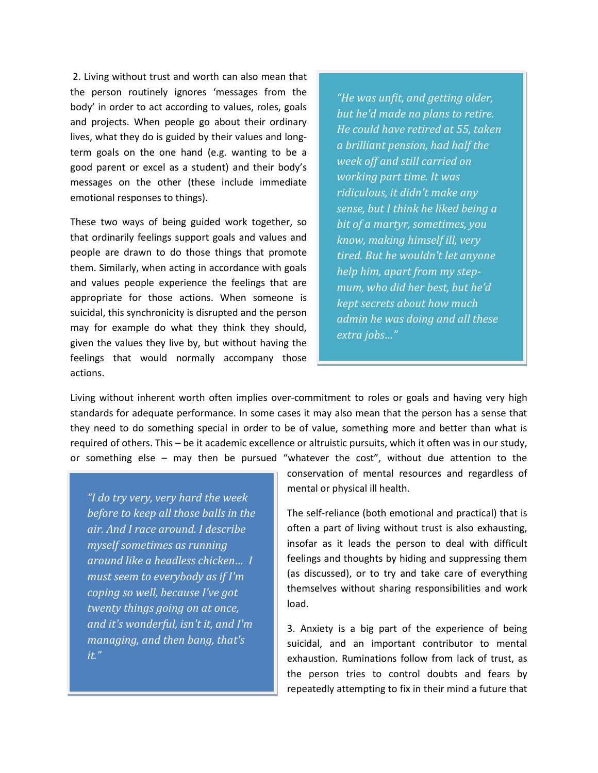2. Living without trust and worth can also mean that the person routinely ignores 'messages from the body' in order to act according to values, roles, goals and projects. When people go about their ordinary lives, what they do is guided by their values and longterm goals on the one hand (e.g. wanting to be a good parent or excel as a student) and their body's messages on the other (these include immediate emotional responses to things).

These two ways of being guided work together, so that ordinarily feelings support goals and values and people are drawn to do those things that promote them. Similarly, when acting in accordance with goals and values people experience the feelings that are appropriate for those actions. When someone is suicidal, this synchronicity is disrupted and the person may for example do what they think they should, given the values they live by, but without having the feelings that would normally accompany those actions.

*"He was unfit, and getting older, but he'd made no plans to retire. He could have retired at 55, taken a brilliant pension, had half the week off and still carried on working part time. It was ridiculous, it didn't make any sense, but I think he liked being a bit of a martyr, sometimes, you know, making himself ill, very tired. But he wouldn't let anyone help him, apart from my stepmum, who did her best, but he'd kept secrets about how much admin he was doing and all these extra jobs…"*

Living without inherent worth often implies over-commitment to roles or goals and having very high standards for adequate performance. In some cases it may also mean that the person has a sense that they need to do something special in order to be of value, something more and better than what is required of others. This – be it academic excellence or altruistic pursuits, which it often was in our study, or something else – may then be pursued "whatever the cost", without due attention to the

*"I do try very, very hard the week before to keep all those balls in the air. And I race around. I describe myself sometimes as running around like a headless chicken… I must seem to everybody as if I'm coping so well, because I've got twenty things going on at once, and it's wonderful, isn't it, and I'm managing, and then bang, that's it."*

conservation of mental resources and regardless of mental or physical ill health.

The self-reliance (both emotional and practical) that is often a part of living without trust is also exhausting, insofar as it leads the person to deal with difficult feelings and thoughts by hiding and suppressing them (as discussed), or to try and take care of everything themselves without sharing responsibilities and work load.

3. Anxiety is a big part of the experience of being suicidal, and an important contributor to mental exhaustion. Ruminations follow from lack of trust, as the person tries to control doubts and fears by repeatedly attempting to fix in their mind a future that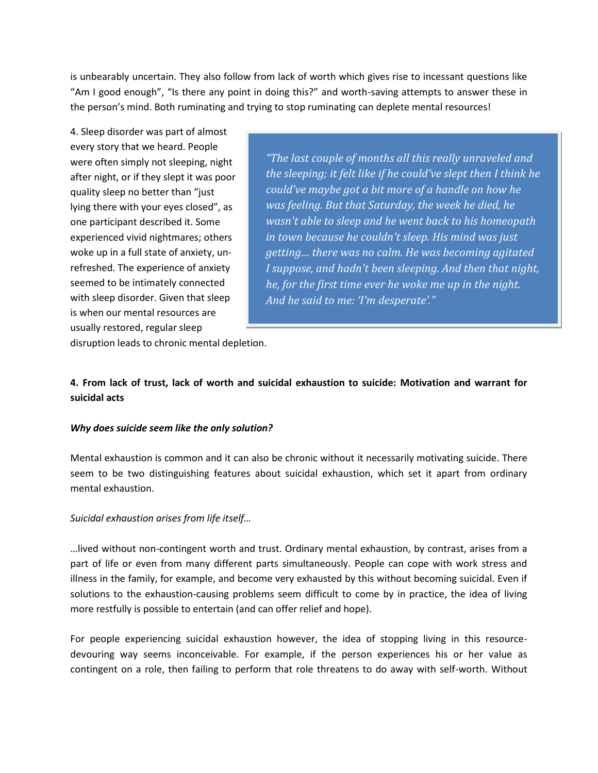is unbearably uncertain. They also follow from lack of worth which gives rise to incessant questions like "Am I good enough", "Is there any point in doing this?" and worth-saving attempts to answer these in the person's mind. Both ruminating and trying to stop ruminating can deplete mental resources!

4. Sleep disorder was part of almost every story that we heard. People were often simply not sleeping, night after night, or if they slept it was poor quality sleep no better than "just lying there with your eyes closed", as one participant described it. Some experienced vivid nightmares; others woke up in a full state of anxiety, unrefreshed. The experience of anxiety seemed to be intimately connected with sleep disorder. Given that sleep is when our mental resources are usually restored, regular sleep

*"The last couple of months all this really unraveled and the sleeping; it felt like if he could've slept then I think he could've maybe got a bit more of a handle on how he was feeling. But that Saturday, the week he died, he wasn't able to sleep and he went back to his homeopath in town because he couldn't sleep. His mind was just getting… there was no calm. He was becoming agitated I suppose, and hadn't been sleeping. And then that night, he, for the first time ever he woke me up in the night. And he said to me: 'I'm desperate'."*

disruption leads to chronic mental depletion.

# **4. From lack of trust, lack of worth and suicidal exhaustion to suicide: Motivation and warrant for suicidal acts**

# *Why does suicide seem like the only solution?*

Mental exhaustion is common and it can also be chronic without it necessarily motivating suicide. There seem to be two distinguishing features about suicidal exhaustion, which set it apart from ordinary mental exhaustion.

## *Suicidal exhaustion arises from life itself…*

…lived without non-contingent worth and trust. Ordinary mental exhaustion, by contrast, arises from a part of life or even from many different parts simultaneously. People can cope with work stress and illness in the family, for example, and become very exhausted by this without becoming suicidal. Even if solutions to the exhaustion-causing problems seem difficult to come by in practice, the idea of living more restfully is possible to entertain (and can offer relief and hope).

For people experiencing suicidal exhaustion however, the idea of stopping living in this resourcedevouring way seems inconceivable. For example, if the person experiences his or her value as contingent on a role, then failing to perform that role threatens to do away with self-worth. Without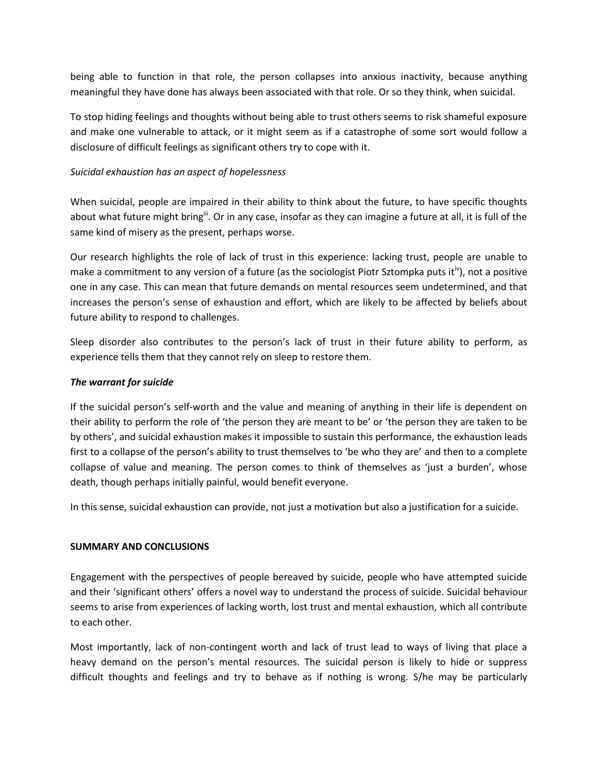being able to function in that role, the person collapses into anxious inactivity, because anything meaningful they have done has always been associated with that role. Or so they think, when suicidal.

To stop hiding feelings and thoughts without being able to trust others seems to risk shameful exposure and make one vulnerable to attack, or it might seem as if a catastrophe of some sort would follow a disclosure of difficult feelings as significant others try to cope with it.

## *Suicidal exhaustion has an aspect of hopelessness*

When suicidal, people are impaired in their ability to think about the future, to have specific thoughts about what future might bring<sup>ii</sup>. Or in any case, insofar as they can imagine a future at all, it is full of the same kind of misery as the present, perhaps worse.

Our research highlights the role of lack of trust in this experience: lacking trust, people are unable to make a commitment to any version of a future (as the sociologist Piotr Sztompka puts it<sup>iv</sup>), not a positive one in any case. This can mean that future demands on mental resources seem undetermined, and that increases the person's sense of exhaustion and effort, which are likely to be affected by beliefs about future ability to respond to challenges.

Sleep disorder also contributes to the person's lack of trust in their future ability to perform, as experience tells them that they cannot rely on sleep to restore them.

## *The warrant for suicide*

If the suicidal person's self-worth and the value and meaning of anything in their life is dependent on their ability to perform the role of 'the person they are meant to be' or 'the person they are taken to be by others', and suicidal exhaustion makes it impossible to sustain this performance, the exhaustion leads first to a collapse of the person's ability to trust themselves to 'be who they are' and then to a complete collapse of value and meaning. The person comes to think of themselves as 'just a burden', whose death, though perhaps initially painful, would benefit everyone.

In this sense, suicidal exhaustion can provide, not just a motivation but also a justification for a suicide.

## **SUMMARY AND CONCLUSIONS**

Engagement with the perspectives of people bereaved by suicide, people who have attempted suicide and their 'significant others' offers a novel way to understand the process of suicide. Suicidal behaviour seems to arise from experiences of lacking worth, lost trust and mental exhaustion, which all contribute to each other.

Most importantly, lack of non-contingent worth and lack of trust lead to ways of living that place a heavy demand on the person's mental resources. The suicidal person is likely to hide or suppress difficult thoughts and feelings and try to behave as if nothing is wrong. S/he may be particularly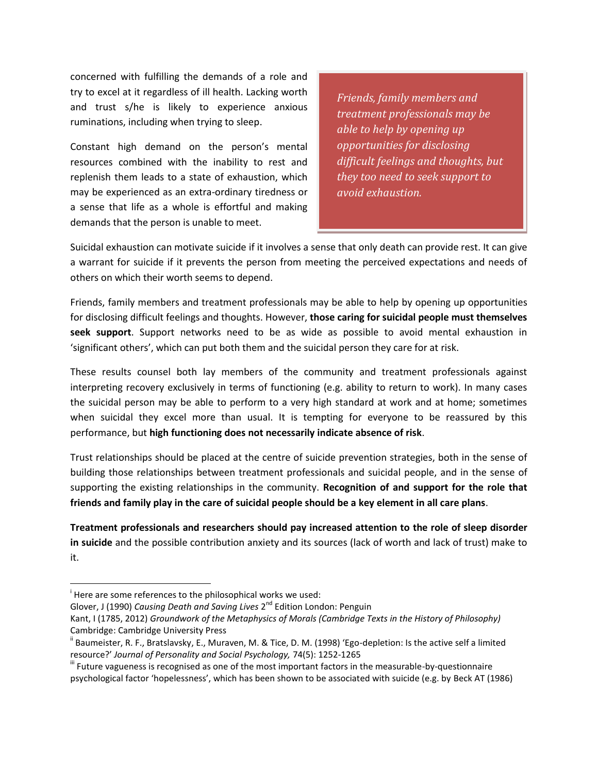concerned with fulfilling the demands of a role and try to excel at it regardless of ill health. Lacking worth and trust s/he is likely to experience anxious ruminations, including when trying to sleep.

Constant high demand on the person's mental resources combined with the inability to rest and replenish them leads to a state of exhaustion, which may be experienced as an extra-ordinary tiredness or a sense that life as a whole is effortful and making demands that the person is unable to meet.

*Friends, family members and treatment professionals may be able to help by opening up opportunities for disclosing difficult feelings and thoughts, but they too need to seek support to avoid exhaustion.*

Suicidal exhaustion can motivate suicide if it involves a sense that only death can provide rest. It can give a warrant for suicide if it prevents the person from meeting the perceived expectations and needs of others on which their worth seems to depend.

Friends, family members and treatment professionals may be able to help by opening up opportunities for disclosing difficult feelings and thoughts. However, **those caring for suicidal people must themselves seek support**. Support networks need to be as wide as possible to avoid mental exhaustion in 'significant others', which can put both them and the suicidal person they care for at risk.

These results counsel both lay members of the community and treatment professionals against interpreting recovery exclusively in terms of functioning (e.g. ability to return to work). In many cases the suicidal person may be able to perform to a very high standard at work and at home; sometimes when suicidal they excel more than usual. It is tempting for everyone to be reassured by this performance, but **high functioning does not necessarily indicate absence of risk**.

Trust relationships should be placed at the centre of suicide prevention strategies, both in the sense of building those relationships between treatment professionals and suicidal people, and in the sense of supporting the existing relationships in the community. **Recognition of and support for the role that friends and family play in the care of suicidal people should be a key element in all care plans**.

**Treatment professionals and researchers should pay increased attention to the role of sleep disorder in suicide** and the possible contribution anxiety and its sources (lack of worth and lack of trust) make to it.

 $\overline{\phantom{a}}$ 

Glover, J (1990) *Causing Death and Saving Lives* 2<sup>nd</sup> Edition London: Penguin

<sup>&</sup>lt;sup>i</sup> Here are some references to the philosophical works we used:

Kant, I (1785, 2012) *Groundwork of the Metaphysics of Morals (Cambridge Texts in the History of Philosophy)*  Cambridge: Cambridge University Press

<sup>&</sup>lt;sup>ii</sup> Baumeister, R. F., Bratslavsky, E., Muraven, M. & Tice, D. M. (1998) 'Ego-depletion: Is the active self a limited resource?' *Journal of Personality and Social Psychology,* 74(5): 1252-1265

<sup>&</sup>quot; Future vagueness is recognised as one of the most important factors in the measurable-by-questionnaire psychological factor 'hopelessness', which has been shown to be associated with suicide (e.g. by Beck AT (1986)